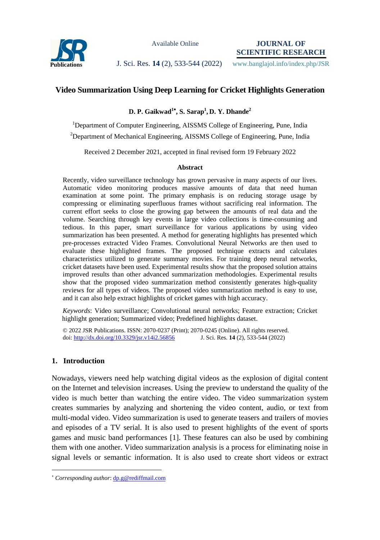

Available Online

**JOURNAL OF SCIENTIFIC RESEARCH**

**Publications J. Sci. Res. 14** (2), 533-544 (2022) www.banglajol.info/index.php/JSR

# **Video Summarization Using Deep Learning for Cricket Highlights Generation**

**D. P. Gaikwad<sup>1</sup> , S. Sarap<sup>1</sup> , D. Y. Dhande<sup>2</sup>**

<sup>1</sup>Department of Computer Engineering, AISSMS College of Engineering, Pune, India <sup>2</sup>Department of Mechanical Engineering, AISSMS College of Engineering, Pune, India

Received 2 December 2021, accepted in final revised form 19 February 2022

#### **Abstract**

Recently, video surveillance technology has grown pervasive in many aspects of our lives. Automatic video monitoring produces massive amounts of data that need human examination at some point. The primary emphasis is on reducing storage usage by compressing or eliminating superfluous frames without sacrificing real information. The current effort seeks to close the growing gap between the amounts of real data and the volume. Searching through key events in large video collections is time-consuming and tedious. In this paper, smart surveillance for various applications by using video summarization has been presented. A method for generating highlights has presented which pre-processes extracted Video Frames. Convolutional Neural Networks are then used to evaluate these highlighted frames. The proposed technique extracts and calculates characteristics utilized to generate summary movies. For training deep neural networks, cricket datasets have been used. Experimental results show that the proposed solution attains improved results than other advanced summarization methodologies. Experimental results show that the proposed video summarization method consistently generates high-quality reviews for all types of videos. The proposed video summarization method is easy to use, and it can also help extract highlights of cricket games with high accuracy.

*Keywords*: Video surveillance; Convolutional neural networks; Feature extraction; Cricket highlight generation; Summarized video; Predefined highlights dataset.

© 2022 JSR Publications. ISSN: 2070-0237 (Print); 2070-0245 (Online). All rights reserved. doi:<http://dx.doi.org/10.3329/jsr.v14i2.56856>J. Sci. Res. **14** (2), 533-544 (2022)

## **1. Introduction**

 $\overline{a}$ 

Nowadays, viewers need help watching digital videos as the explosion of digital content on the Internet and television increases. Using the preview to understand the quality of the video is much better than watching the entire video. The video summarization system creates summaries by analyzing and shortening the video content, audio, or text from multi-modal video. Video summarization is used to generate teasers and trailers of movies and episodes of a TV serial. It is also used to present highlights of the event of sports games and music band performances [1]. These features can also be used by combining them with one another. Video summarization analysis is a process for eliminating noise in signal levels or semantic information. It is also used to create short videos or extract

*Corresponding author*[: dp.g@rediffmail.com](mailto:dp.g@rediffmail.com)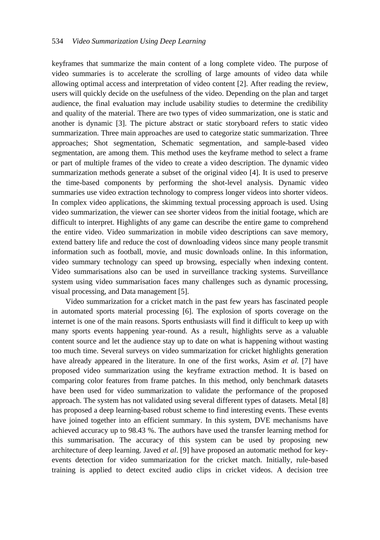keyframes that summarize the main content of a long complete video. The purpose of video summaries is to accelerate the scrolling of large amounts of video data while allowing optimal access and interpretation of video content [2]. After reading the review, users will quickly decide on the usefulness of the video. Depending on the plan and target audience, the final evaluation may include usability studies to determine the credibility and quality of the material. There are two types of video summarization, one is static and another is dynamic [3]. The picture abstract or static storyboard refers to static video summarization. Three main approaches are used to categorize static summarization. Three approaches; Shot segmentation, Schematic segmentation, and sample-based video segmentation, are among them. This method uses the keyframe method to select a frame or part of multiple frames of the video to create a video description. The dynamic video summarization methods generate a subset of the original video [4]. It is used to preserve the time-based components by performing the shot-level analysis. Dynamic video summaries use video extraction technology to compress longer videos into shorter videos. In complex video applications, the skimming textual processing approach is used. Using video summarization, the viewer can see shorter videos from the initial footage, which are difficult to interpret. Highlights of any game can describe the entire game to comprehend the entire video. Video summarization in mobile video descriptions can save memory, extend battery life and reduce the cost of downloading videos since many people transmit information such as football, movie, and music downloads online. In this information, video summary technology can speed up browsing, especially when indexing content. Video summarisations also can be used in surveillance tracking systems. Surveillance system using video summarisation faces many challenges such as dynamic processing, visual processing, and Data management [5].

Video summarization for a cricket match in the past few years has fascinated people in automated sports material processing [6]. The explosion of sports coverage on the internet is one of the main reasons. Sports enthusiasts will find it difficult to keep up with many sports events happening year-round. As a result, highlights serve as a valuable content source and let the audience stay up to date on what is happening without wasting too much time. Several surveys on video summarization for cricket highlights generation have already appeared in the literature. In one of the first works, Asim *et al.* [7] have proposed video summarization using the keyframe extraction method. It is based on comparing color features from frame patches. In this method, only benchmark datasets have been used for video summarization to validate the performance of the proposed approach. The system has not validated using several different types of datasets. Metal [8] has proposed a deep learning-based robust scheme to find interesting events. These events have joined together into an efficient summary. In this system, DVE mechanisms have achieved accuracy up to 98.43 %. The authors have used the transfer learning method for this summarisation. The accuracy of this system can be used by proposing new architecture of deep learning. Javed *et al*. [9] have proposed an automatic method for keyevents detection for video summarization for the cricket match. Initially, rule-based training is applied to detect excited audio clips in cricket videos. A decision tree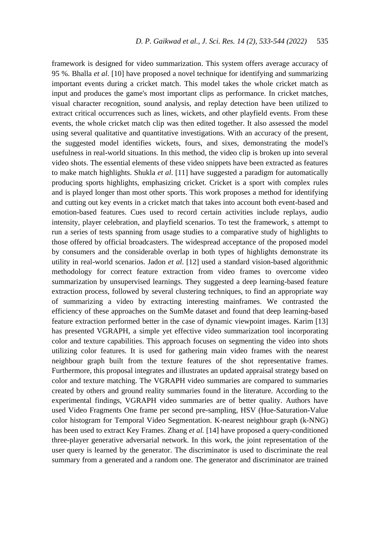framework is designed for video summarization. This system offers average accuracy of 95 %. Bhalla *et al*. [10] have proposed a novel technique for identifying and summarizing important events during a cricket match. This model takes the whole cricket match as input and produces the game's most important clips as performance. In cricket matches, visual character recognition, sound analysis, and replay detection have been utilized to extract critical occurrences such as lines, wickets, and other playfield events. From these events, the whole cricket match clip was then edited together. It also assessed the model using several qualitative and quantitative investigations. With an accuracy of the present, the suggested model identifies wickets, fours, and sixes, demonstrating the model's usefulness in real-world situations. In this method, the video clip is broken up into several video shots. The essential elements of these video snippets have been extracted as features to make match highlights. Shukla *et al*. [11] have suggested a paradigm for automatically producing sports highlights, emphasizing cricket. Cricket is a sport with complex rules and is played longer than most other sports. This work proposes a method for identifying and cutting out key events in a cricket match that takes into account both event-based and emotion-based features. Cues used to record certain activities include replays, audio intensity, player celebration, and playfield scenarios. To test the framework, s attempt to run a series of tests spanning from usage studies to a comparative study of highlights to those offered by official broadcasters. The widespread acceptance of the proposed model by consumers and the considerable overlap in both types of highlights demonstrate its utility in real-world scenarios. Jadon *et al*. [12] used a standard vision-based algorithmic methodology for correct feature extraction from video frames to overcome video summarization by unsupervised learnings. They suggested a deep learning-based feature extraction process, followed by several clustering techniques, to find an appropriate way of summarizing a video by extracting interesting mainframes. We contrasted the efficiency of these approaches on the SumMe dataset and found that deep learning-based feature extraction performed better in the case of dynamic viewpoint images. Karim [13] has presented VGRAPH, a simple yet effective video summarization tool incorporating color and texture capabilities. This approach focuses on segmenting the video into shots utilizing color features. It is used for gathering main video frames with the nearest neighbour graph built from the texture features of the shot representative frames. Furthermore, this proposal integrates and illustrates an updated appraisal strategy based on color and texture matching. The VGRAPH video summaries are compared to summaries created by others and ground reality summaries found in the literature. According to the experimental findings, VGRAPH video summaries are of better quality. Authors have used Video Fragments One frame per second pre-sampling, HSV (Hue-Saturation-Value color histogram for Temporal Video Segmentation. K-nearest neighbour graph (k-NNG) has been used to extract Key Frames. Zhang *et al.* [14] have proposed a query-conditioned three-player generative adversarial network. In this work, the joint representation of the user query is learned by the generator. The discriminator is used to discriminate the real summary from a generated and a random one. The generator and discriminator are trained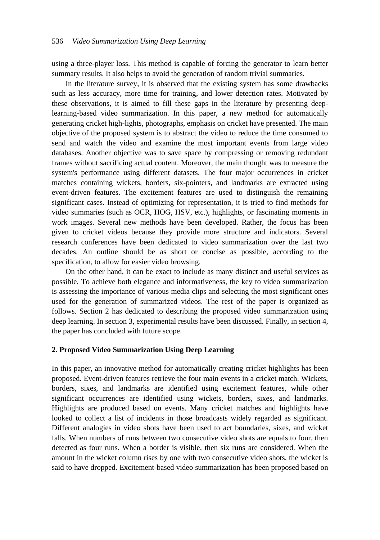using a three-player loss. This method is capable of forcing the generator to learn better summary results. It also helps to avoid the generation of random trivial summaries.

In the literature survey, it is observed that the existing system has some drawbacks such as less accuracy, more time for training, and lower detection rates. Motivated by these observations, it is aimed to fill these gaps in the literature by presenting deeplearning-based video summarization. In this paper, a new method for automatically generating cricket high-lights, photographs, emphasis on cricket have presented. The main objective of the proposed system is to abstract the video to reduce the time consumed to send and watch the video and examine the most important events from large video databases. Another objective was to save space by compressing or removing redundant frames without sacrificing actual content. Moreover, the main thought was to measure the system's performance using different datasets. The four major occurrences in cricket matches containing wickets, borders, six-pointers, and landmarks are extracted using event-driven features. The excitement features are used to distinguish the remaining significant cases. Instead of optimizing for representation, it is tried to find methods for video summaries (such as OCR, HOG, HSV, etc.), highlights, or fascinating moments in work images. Several new methods have been developed. Rather, the focus has been given to cricket videos because they provide more structure and indicators. Several research conferences have been dedicated to video summarization over the last two decades. An outline should be as short or concise as possible, according to the specification, to allow for easier video browsing.

On the other hand, it can be exact to include as many distinct and useful services as possible. To achieve both elegance and informativeness, the key to video summarization is assessing the importance of various media clips and selecting the most significant ones used for the generation of summarized videos. The rest of the paper is organized as follows. Section 2 has dedicated to describing the proposed video summarization using deep learning. In section 3, experimental results have been discussed. Finally, in section 4, the paper has concluded with future scope.

## **2. Proposed Video Summarization Using Deep Learning**

In this paper, an innovative method for automatically creating cricket highlights has been proposed. Event-driven features retrieve the four main events in a cricket match. Wickets, borders, sixes, and landmarks are identified using excitement features, while other significant occurrences are identified using wickets, borders, sixes, and landmarks. Highlights are produced based on events. Many cricket matches and highlights have looked to collect a list of incidents in those broadcasts widely regarded as significant. Different analogies in video shots have been used to act boundaries, sixes, and wicket falls. When numbers of runs between two consecutive video shots are equals to four, then detected as four runs. When a border is visible, then six runs are considered. When the amount in the wicket column rises by one with two consecutive video shots, the wicket is said to have dropped. Excitement-based video summarization has been proposed based on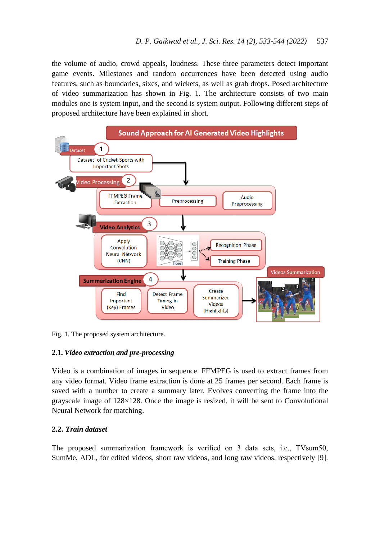the volume of audio, crowd appeals, loudness. These three parameters detect important game events. Milestones and random occurrences have been detected using audio features, such as boundaries, sixes, and wickets, as well as grab drops. Posed architecture of video summarization has shown in Fig. 1. The architecture consists of two main modules one is system input, and the second is system output. Following different steps of proposed architecture have been explained in short.



Fig. 1. The proposed system architecture.

## **2.1.** *Video extraction and pre-processing*

Video is a combination of images in sequence. FFMPEG is used to extract frames from any video format. Video frame extraction is done at 25 frames per second. Each frame is saved with a number to create a summary later. Evolves converting the frame into the grayscale image of 128×128. Once the image is resized, it will be sent to Convolutional Neural Network for matching.

## **2.2.** *Train dataset*

The proposed summarization framework is verified on 3 data sets, i.e., TVsum50, SumMe, ADL, for edited videos, short raw videos, and long raw videos, respectively [9].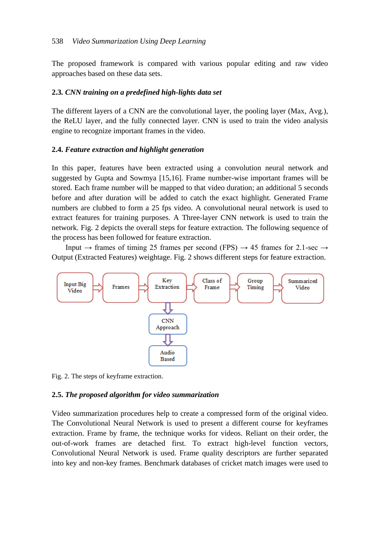The proposed framework is compared with various popular editing and raw video approaches based on these data sets.

#### **2.3***. CNN training on a predefined high-lights data set*

The different layers of a CNN are the convolutional layer, the pooling layer (Max, Avg.), the ReLU layer, and the fully connected layer. CNN is used to train the video analysis engine to recognize important frames in the video.

#### **2.4.** *Feature extraction and highlight generation*

In this paper, features have been extracted using a convolution neural network and suggested by Gupta and Sowmya [15,16]. Frame number-wise important frames will be stored. Each frame number will be mapped to that video duration; an additional 5 seconds before and after duration will be added to catch the exact highlight. Generated Frame numbers are clubbed to form a 25 fps video. A convolutional neural network is used to extract features for training purposes. A Three-layer CNN network is used to train the network. Fig. 2 depicts the overall steps for feature extraction. The following sequence of the process has been followed for feature extraction.

Input  $\rightarrow$  frames of timing 25 frames per second (FPS)  $\rightarrow$  45 frames for 2.1-sec  $\rightarrow$ Output (Extracted Features) weightage. Fig. 2 shows different steps for feature extraction.



Fig. 2. The steps of keyframe extraction.

## **2.5.** *The proposed algorithm for video summarization*

Video summarization procedures help to create a compressed form of the original video. The Convolutional Neural Network is used to present a different course for keyframes extraction. Frame by frame, the technique works for videos. Reliant on their order, the out-of-work frames are detached first. To extract high-level function vectors, Convolutional Neural Network is used. Frame quality descriptors are further separated into key and non-key frames. Benchmark databases of cricket match images were used to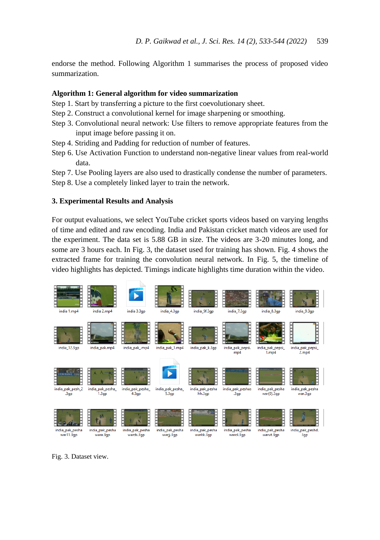endorse the method. Following Algorithm 1 summarises the process of proposed video summarization.

#### **Algorithm 1: General algorithm for video summarization**

- Step 1. Start by transferring a picture to the first coevolutionary sheet.
- Step 2. Construct a convolutional kernel for image sharpening or smoothing.
- Step 3. Convolutional neural network: Use filters to remove appropriate features from the input image before passing it on.
- Step 4. Striding and Padding for reduction of number of features.
- Step 6. Use Activation Function to understand non-negative linear values from real-world data.

Step 7. Use Pooling layers are also used to drastically condense the number of parameters.

Step 8. Use a completely linked layer to train the network.

### **3. Experimental Results and Analysis**

For output evaluations, we select YouTube cricket sports videos based on varying lengths of time and edited and raw encoding. India and Pakistan cricket match videos are used for the experiment. The data set is 5.88 GB in size. The videos are 3-20 minutes long, and some are 3 hours each. In Fig. 3, the dataset used for training has shown. Fig. 4 shows the extracted frame for training the convolution neural network. In Fig. 5, the timeline of video highlights has depicted. Timings indicate highlights time duration within the video.



Fig. 3. Dataset view.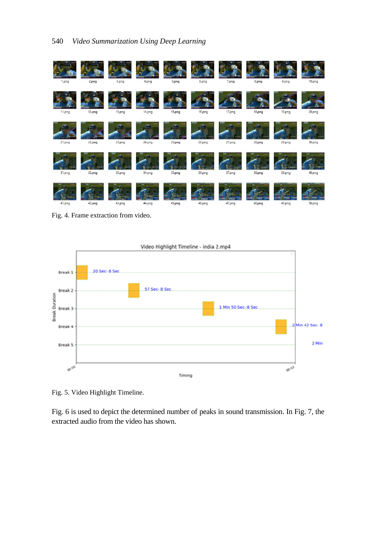

Fig. 4. Frame extraction from video.



Fig. 5. Video Highlight Timeline.

Fig. 6 is used to depict the determined number of peaks in sound transmission. In Fig. 7, the extracted audio from the video has shown.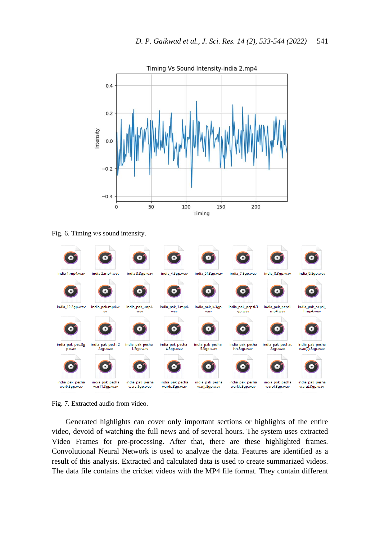

Fig. 6. Timing v/s sound intensity.



Fig. 7. Extracted audio from video.

Generated highlights can cover only important sections or highlights of the entire video, devoid of watching the full news and of several hours. The system uses extracted Video Frames for pre-processing. After that, there are these highlighted frames. Convolutional Neural Network is used to analyze the data. Features are identified as a result of this analysis. Extracted and calculated data is used to create summarized videos. The data file contains the cricket videos with the MP4 file format. They contain different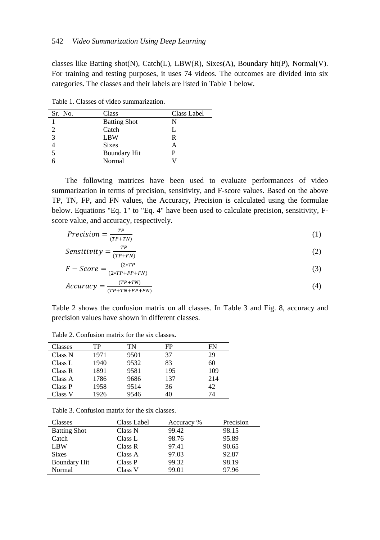classes like Batting shot(N), Catch(L), LBW(R), Sixes(A), Boundary hit(P), Normal(V). For training and testing purposes, it uses 74 videos. The outcomes are divided into six categories. The classes and their labels are listed in Table 1 below.

Table 1. Classes of video summarization.

| Sr. No. | Class               | Class Label |
|---------|---------------------|-------------|
|         | <b>Batting Shot</b> | N           |
|         | Catch               | L           |
| 3       | LBW                 | R           |
|         | <b>Sixes</b>        | А           |
|         | <b>Boundary Hit</b> | Р           |
|         | Normal              |             |

The following matrices have been used to evaluate performances of video summarization in terms of precision, sensitivity, and F-score values. Based on the above TP, TN, FP, and FN values, the Accuracy, Precision is calculated using the formulae below. Equations "Eq. 1" to "Eq. 4" have been used to calculate precision, sensitivity, Fscore value, and accuracy, respectively.

$$
Precision = \frac{TP}{(TP + TN)}
$$
 (1)

$$
Sensitivity = \frac{TP}{(TP+FN)}
$$
 (2)

$$
F - Score = \frac{(2*TP)}{(2*TP + FP + FN)}
$$
\n<sup>(7D+TN)</sup>

$$
Accuracy = \frac{(TP + TN)}{(TP + TN + FP + FN)}
$$
 (4)

Table 2 shows the confusion matrix on all classes. In Table 3 and Fig. 8, accuracy and precision values have shown in different classes.

| Classes | TP   | TN   | FP  | FN  |
|---------|------|------|-----|-----|
| Class N | 1971 | 9501 | 37  | 29  |
| Class L | 1940 | 9532 | 83  | 60  |
| Class R | 1891 | 9581 | 195 | 109 |
| Class A | 1786 | 9686 | 137 | 214 |
| Class P | 1958 | 9514 | 36  | 42. |
| Class V | 1926 | 9546 | 40  | 74  |

Table 2. Confusion matrix for the six classes**.**

Table 3. Confusion matrix for the six classes.

| Classes             | Class Label | Accuracy % | Precision |
|---------------------|-------------|------------|-----------|
| <b>Batting Shot</b> | Class N     | 99.42      | 98.15     |
| Catch               | Class L     | 98.76      | 95.89     |
| LBW                 | Class R     | 97.41      | 90.65     |
| <b>Sixes</b>        | Class A     | 97.03      | 92.87     |
| <b>Boundary Hit</b> | Class P     | 99.32      | 98.19     |
| Normal              | Class V     | 99.01      | 97.96     |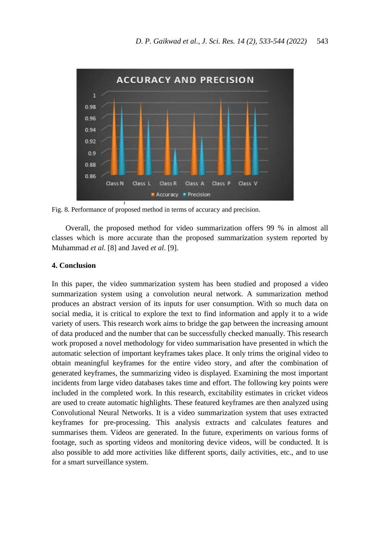

Fig. 8. Performance of proposed method in terms of accuracy and precision.

Overall, the proposed method for video summarization offers 99 % in almost all classes which is more accurate than the proposed summarization system reported by Muhammad *et al*. [8] and Javed *et al*. [9].

## **4. Conclusion**

In this paper, the video summarization system has been studied and proposed a video summarization system using a convolution neural network. A summarization method produces an abstract version of its inputs for user consumption. With so much data on social media, it is critical to explore the text to find information and apply it to a wide variety of users. This research work aims to bridge the gap between the increasing amount of data produced and the number that can be successfully checked manually. This research work proposed a novel methodology for video summarisation have presented in which the automatic selection of important keyframes takes place. It only trims the original video to obtain meaningful keyframes for the entire video story, and after the combination of generated keyframes, the summarizing video is displayed. Examining the most important incidents from large video databases takes time and effort. The following key points were included in the completed work. In this research, excitability estimates in cricket videos are used to create automatic highlights. These featured keyframes are then analyzed using Convolutional Neural Networks. It is a video summarization system that uses extracted keyframes for pre-processing. This analysis extracts and calculates features and summarises them. Videos are generated. In the future, experiments on various forms of footage, such as sporting videos and monitoring device videos, will be conducted. It is also possible to add more activities like different sports, daily activities, etc., and to use for a smart surveillance system.